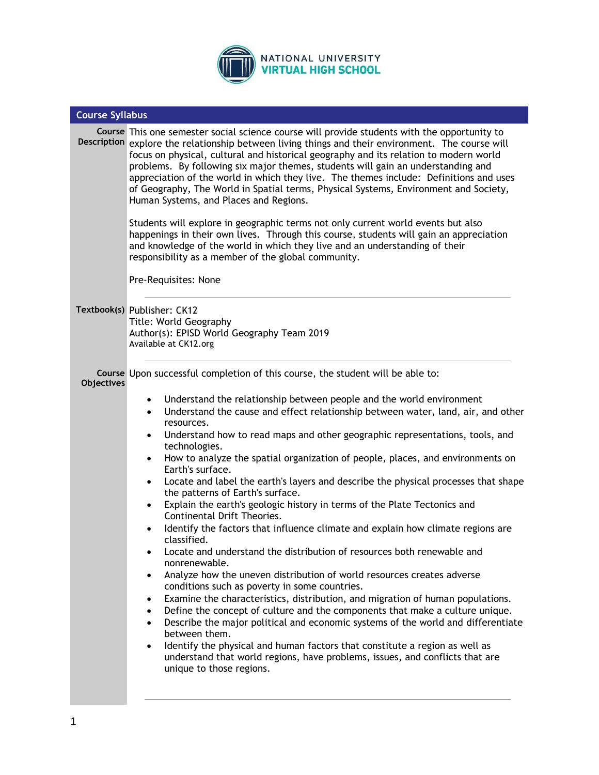

| <b>Course Syllabus</b> |                                                                                                                                                                                                                                                                                                                                                                                                                                                                                                                                                                                                                                                                                                                                                                                                                                                                                                                                                                                                                                                                                                                                                                                                                                                                                                                                                                                                                                                                                                                                                                                       |  |  |  |
|------------------------|---------------------------------------------------------------------------------------------------------------------------------------------------------------------------------------------------------------------------------------------------------------------------------------------------------------------------------------------------------------------------------------------------------------------------------------------------------------------------------------------------------------------------------------------------------------------------------------------------------------------------------------------------------------------------------------------------------------------------------------------------------------------------------------------------------------------------------------------------------------------------------------------------------------------------------------------------------------------------------------------------------------------------------------------------------------------------------------------------------------------------------------------------------------------------------------------------------------------------------------------------------------------------------------------------------------------------------------------------------------------------------------------------------------------------------------------------------------------------------------------------------------------------------------------------------------------------------------|--|--|--|
|                        | Course This one semester social science course will provide students with the opportunity to<br>Description explore the relationship between living things and their environment. The course will<br>focus on physical, cultural and historical geography and its relation to modern world<br>problems. By following six major themes, students will gain an understanding and<br>appreciation of the world in which they live. The themes include: Definitions and uses<br>of Geography, The World in Spatial terms, Physical Systems, Environment and Society,<br>Human Systems, and Places and Regions.<br>Students will explore in geographic terms not only current world events but also<br>happenings in their own lives. Through this course, students will gain an appreciation<br>and knowledge of the world in which they live and an understanding of their<br>responsibility as a member of the global community.<br>Pre-Requisites: None                                                                                                                                                                                                                                                                                                                                                                                                                                                                                                                                                                                                                                |  |  |  |
|                        |                                                                                                                                                                                                                                                                                                                                                                                                                                                                                                                                                                                                                                                                                                                                                                                                                                                                                                                                                                                                                                                                                                                                                                                                                                                                                                                                                                                                                                                                                                                                                                                       |  |  |  |
|                        | Textbook(s) Publisher: CK12<br>Title: World Geography<br>Author(s): EPISD World Geography Team 2019<br>Available at CK12.org                                                                                                                                                                                                                                                                                                                                                                                                                                                                                                                                                                                                                                                                                                                                                                                                                                                                                                                                                                                                                                                                                                                                                                                                                                                                                                                                                                                                                                                          |  |  |  |
| <b>Objectives</b>      | Course Upon successful completion of this course, the student will be able to:                                                                                                                                                                                                                                                                                                                                                                                                                                                                                                                                                                                                                                                                                                                                                                                                                                                                                                                                                                                                                                                                                                                                                                                                                                                                                                                                                                                                                                                                                                        |  |  |  |
|                        | Understand the relationship between people and the world environment<br>$\bullet$<br>Understand the cause and effect relationship between water, land, air, and other<br>$\bullet$<br>resources.<br>Understand how to read maps and other geographic representations, tools, and<br>$\bullet$<br>technologies.<br>How to analyze the spatial organization of people, places, and environments on<br>$\bullet$<br>Earth's surface.<br>Locate and label the earth's layers and describe the physical processes that shape<br>$\bullet$<br>the patterns of Earth's surface.<br>Explain the earth's geologic history in terms of the Plate Tectonics and<br>$\bullet$<br>Continental Drift Theories.<br>Identify the factors that influence climate and explain how climate regions are<br>$\bullet$<br>classified.<br>Locate and understand the distribution of resources both renewable and<br>$\bullet$<br>nonrenewable.<br>Analyze how the uneven distribution of world resources creates adverse<br>$\bullet$<br>conditions such as poverty in some countries.<br>Examine the characteristics, distribution, and migration of human populations.<br>$\bullet$<br>Define the concept of culture and the components that make a culture unique.<br>$\bullet$<br>Describe the major political and economic systems of the world and differentiate<br>$\bullet$<br>between them.<br>Identify the physical and human factors that constitute a region as well as<br>$\bullet$<br>understand that world regions, have problems, issues, and conflicts that are<br>unique to those regions. |  |  |  |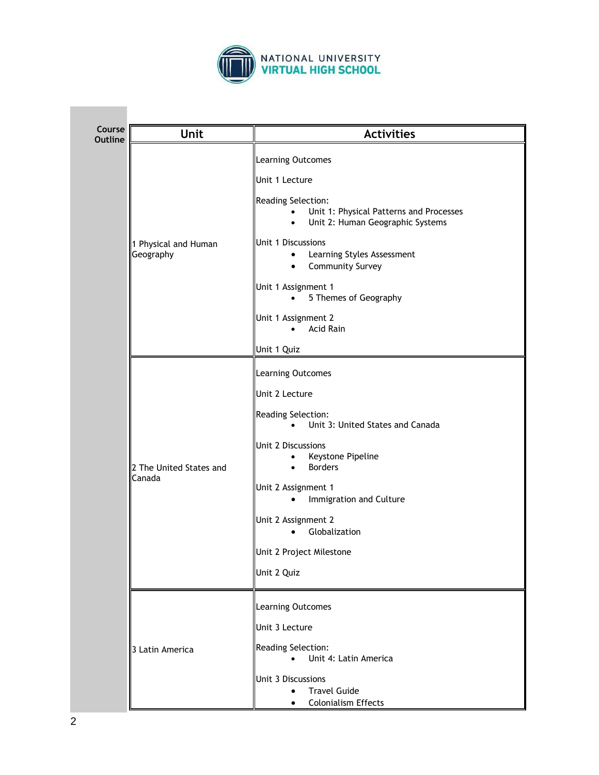

| Course<br>Outline | <b>Unit</b>                       | <b>Activities</b>                                                                                                           |
|-------------------|-----------------------------------|-----------------------------------------------------------------------------------------------------------------------------|
|                   | 1 Physical and Human<br>Geography | Learning Outcomes                                                                                                           |
|                   |                                   | Unit 1 Lecture                                                                                                              |
|                   |                                   | Reading Selection:<br>Unit 1: Physical Patterns and Processes<br>$\bullet$<br>Unit 2: Human Geographic Systems<br>$\bullet$ |
|                   |                                   | Unit 1 Discussions<br>Learning Styles Assessment<br>٠<br>Community Survey<br>٠                                              |
|                   |                                   | Unit 1 Assignment 1<br>5 Themes of Geography<br>$\bullet$                                                                   |
|                   |                                   | Unit 1 Assignment 2<br>Acid Rain                                                                                            |
|                   |                                   | Unit 1 Quiz                                                                                                                 |
|                   | 2 The United States and<br>Canada | Learning Outcomes                                                                                                           |
|                   |                                   | Unit 2 Lecture                                                                                                              |
|                   |                                   | Reading Selection:<br>Unit 3: United States and Canada<br>$\bullet$                                                         |
|                   |                                   | Unit 2 Discussions<br>Keystone Pipeline<br>$\bullet$<br><b>Borders</b><br>$\bullet$                                         |
|                   |                                   | Unit 2 Assignment 1<br>Immigration and Culture<br>$\bullet$                                                                 |
|                   |                                   | Unit 2 Assignment 2<br>Globalization<br>$\bullet$                                                                           |
|                   |                                   | Unit 2 Project Milestone                                                                                                    |
|                   |                                   | Unit 2 Quiz                                                                                                                 |
|                   | 3 Latin America                   | Learning Outcomes                                                                                                           |
|                   |                                   | Unit 3 Lecture                                                                                                              |
|                   |                                   | Reading Selection:<br>Unit 4: Latin America<br>$\bullet$                                                                    |
|                   |                                   | Unit 3 Discussions<br><b>Travel Guide</b><br><b>Colonialism Effects</b><br>$\bullet$                                        |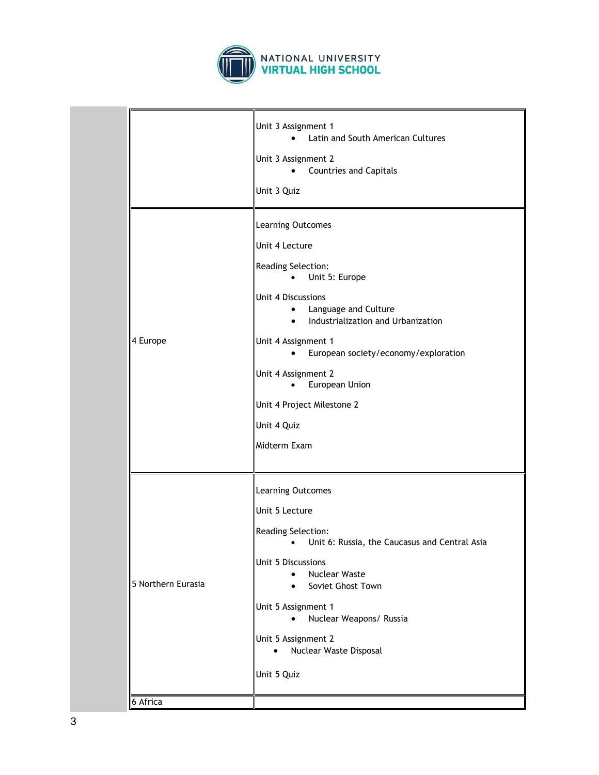

|                    | Unit 3 Assignment 1<br>Latin and South American Cultures<br>Unit 3 Assignment 2<br><b>Countries and Capitals</b>                                                                                                                                                                                                                                                    |
|--------------------|---------------------------------------------------------------------------------------------------------------------------------------------------------------------------------------------------------------------------------------------------------------------------------------------------------------------------------------------------------------------|
|                    | Unit 3 Quiz                                                                                                                                                                                                                                                                                                                                                         |
| 4 Europe           | Learning Outcomes<br>Unit 4 Lecture<br>Reading Selection:<br>Unit 5: Europe<br>٠<br>Unit 4 Discussions<br>Language and Culture<br>$\bullet$<br>Industrialization and Urbanization<br>$\bullet$<br>Unit 4 Assignment 1<br>European society/economy/exploration<br>Unit 4 Assignment 2<br>European Union<br>Unit 4 Project Milestone 2<br>Unit 4 Quiz<br>Midterm Exam |
| 5 Northern Eurasia | Learning Outcomes<br>Unit 5 Lecture<br>Reading Selection:<br>Unit 6: Russia, the Caucasus and Central Asia<br>$\bullet$<br>Unit 5 Discussions<br><b>Nuclear Waste</b><br>Soviet Ghost Town<br>Unit 5 Assignment 1<br>Nuclear Weapons/ Russia<br>$\bullet$<br>Unit 5 Assignment 2<br>Nuclear Waste Disposal<br>Unit 5 Quiz                                           |
| 6 Africa           |                                                                                                                                                                                                                                                                                                                                                                     |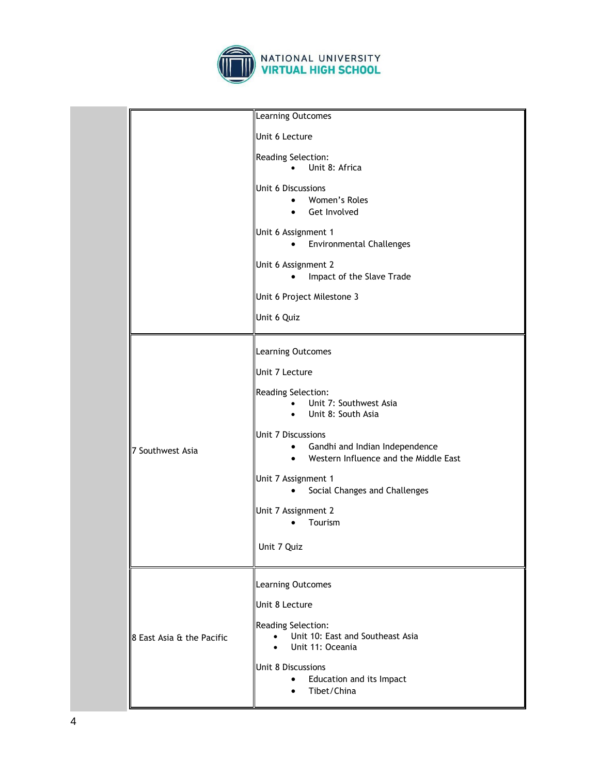

| Learning Outcomes         |                                                                                                                         |
|---------------------------|-------------------------------------------------------------------------------------------------------------------------|
|                           | Unit 6 Lecture                                                                                                          |
|                           | Reading Selection:<br>Unit 8: Africa<br>$\bullet$                                                                       |
|                           | Unit 6 Discussions<br>Women's Roles<br>$\bullet$<br>Get Involved<br>$\bullet$                                           |
|                           | Unit 6 Assignment 1<br><b>Environmental Challenges</b><br>$\bullet$                                                     |
|                           | Unit 6 Assignment 2<br>Impact of the Slave Trade<br>$\bullet$                                                           |
|                           | Unit 6 Project Milestone 3                                                                                              |
|                           | Unit 6 Quiz                                                                                                             |
|                           | Learning Outcomes                                                                                                       |
|                           | Unit 7 Lecture                                                                                                          |
|                           | Reading Selection:<br>Unit 7: Southwest Asia<br>Unit 8: South Asia<br>$\bullet$                                         |
| 7 Southwest Asia          | Unit 7 Discussions<br>Gandhi and Indian Independence<br>$\bullet$<br>Western Influence and the Middle East<br>$\bullet$ |
|                           | Unit 7 Assignment 1<br>Social Changes and Challenges<br>$\bullet$                                                       |
|                           | Unit 7 Assignment 2<br>Tourism                                                                                          |
|                           | Unit 7 Quiz                                                                                                             |
|                           | Learning Outcomes                                                                                                       |
|                           | Unit 8 Lecture                                                                                                          |
| 8 East Asia & the Pacific | Reading Selection:<br>Unit 10: East and Southeast Asia<br>Unit 11: Oceania                                              |
|                           | Unit 8 Discussions<br>Education and its Impact<br>$\bullet$<br>Tibet/China                                              |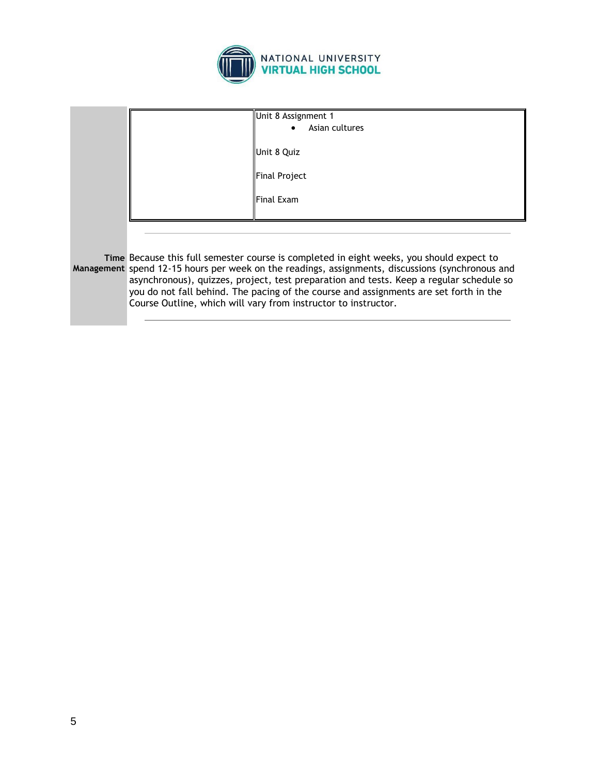

|  | Unit 8 Assignment 1                                                                                                                                                                                                                                |  |  |
|--|----------------------------------------------------------------------------------------------------------------------------------------------------------------------------------------------------------------------------------------------------|--|--|
|  |                                                                                                                                                                                                                                                    |  |  |
|  | Asian cultures                                                                                                                                                                                                                                     |  |  |
|  |                                                                                                                                                                                                                                                    |  |  |
|  | Unit 8 Quiz                                                                                                                                                                                                                                        |  |  |
|  |                                                                                                                                                                                                                                                    |  |  |
|  |                                                                                                                                                                                                                                                    |  |  |
|  | Final Project                                                                                                                                                                                                                                      |  |  |
|  |                                                                                                                                                                                                                                                    |  |  |
|  |                                                                                                                                                                                                                                                    |  |  |
|  | Final Exam                                                                                                                                                                                                                                         |  |  |
|  |                                                                                                                                                                                                                                                    |  |  |
|  |                                                                                                                                                                                                                                                    |  |  |
|  |                                                                                                                                                                                                                                                    |  |  |
|  |                                                                                                                                                                                                                                                    |  |  |
|  |                                                                                                                                                                                                                                                    |  |  |
|  |                                                                                                                                                                                                                                                    |  |  |
|  | Time Because this full semester course is completed in eight weeks, you should expect to<br>Management spend 12-15 hours per week on the readings, assignments, discussions (synchronous and                                                       |  |  |
|  |                                                                                                                                                                                                                                                    |  |  |
|  |                                                                                                                                                                                                                                                    |  |  |
|  | asynchronous), quizzes, project, test preparation and tests. Keep a regular schedule so<br>you do not fall behind. The pacing of the course and assignments are set forth in the<br>Course Outline, which will vary from instructor to instructor. |  |  |
|  |                                                                                                                                                                                                                                                    |  |  |
|  |                                                                                                                                                                                                                                                    |  |  |
|  |                                                                                                                                                                                                                                                    |  |  |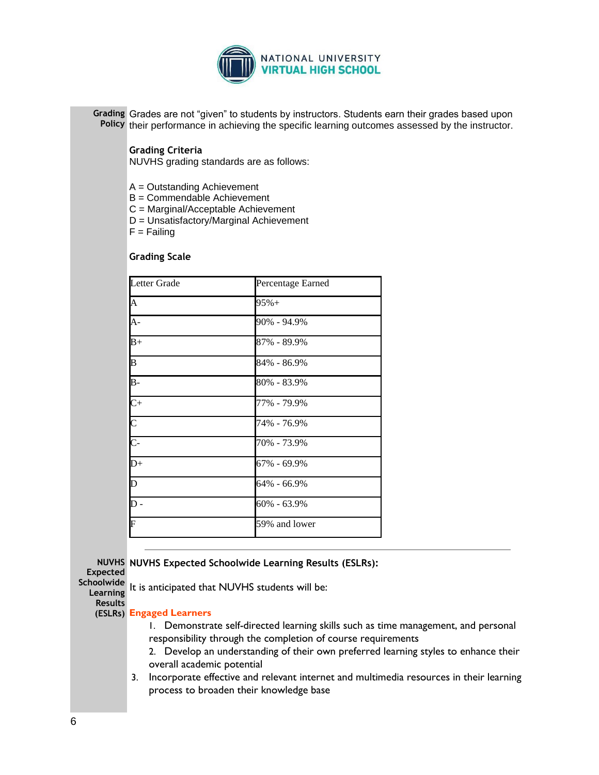

**Grading**  Grades are not "given" to students by instructors. Students earn their grades based upon Policy their performance in achieving the specific learning outcomes assessed by the instructor.

# **Grading Criteria**

NUVHS grading standards are as follows:

- A = Outstanding Achievement
- B = Commendable Achievement
- C = Marginal/Acceptable Achievement
- D = Unsatisfactory/Marginal Achievement

 $F =$  Failing

#### **Grading Scale**

| Letter Grade              | Percentage Earned |
|---------------------------|-------------------|
| $\overline{\mathbf{A}}$   | $95% +$           |
| $\overline{A}$ -          | 90% - 94.9%       |
| $B+$                      | 87% - 89.9%       |
| $\overline{\mathbf{B}}$   | 84% - 86.9%       |
| $\overline{B}$ -          | 80% - 83.9%       |
| $\overline{C}$ +          | 77% - 79.9%       |
| $\overline{\text{C}}$     | 74% - 76.9%       |
| $\overline{\text{C}}$     | 70% - 73.9%       |
| $\overline{D+}$           | 67% - 69.9%       |
| $\overline{\mathsf{D}}$   | 64% - 66.9%       |
| $\overline{\mathsf{D}}$ - | $60\% - 63.9\%$   |
| $\overline{\mathrm{F}}$   | 59% and lower     |

**NUVHS NUVHS Expected Schoolwide Learning Results (ESLRs):**

**Expected Schoolwide** 

**Learning**  It is anticipated that NUVHS students will be:

**Results** 

# **(ESLRs) Engaged Learners**

- 1. Demonstrate self-directed learning skills such as time management, and personal responsibility through the completion of course requirements
- 2. Develop an understanding of their own preferred learning styles to enhance their overall academic potential
- 3. Incorporate effective and relevant internet and multimedia resources in their learning process to broaden their knowledge base